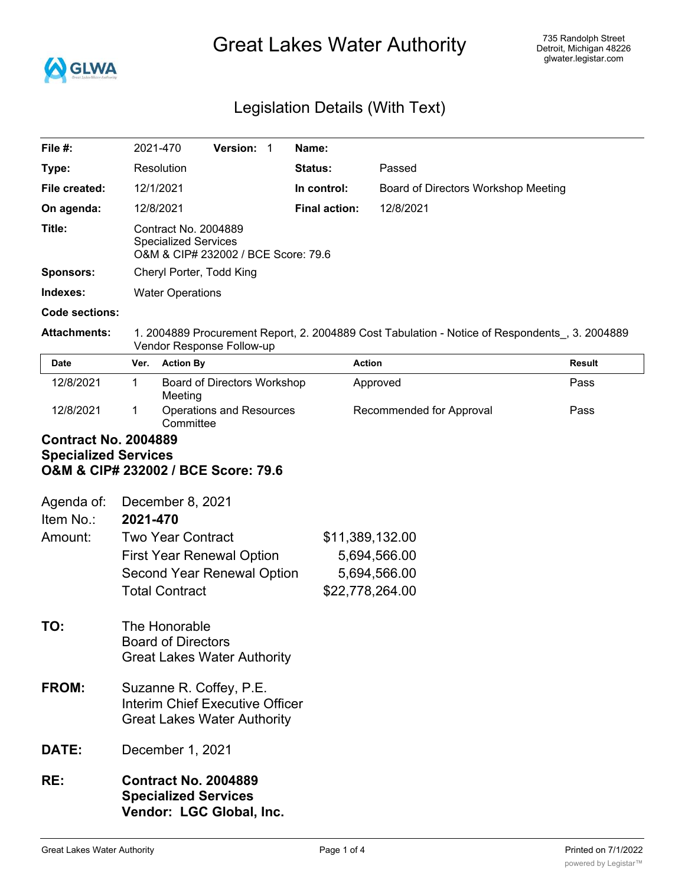

# Great Lakes Water Authority

# Legislation Details (With Text)

| File #:                                                                                           | 2021-470<br>Version: 1                                                                                                      | Name:                                                       |                                     |               |  |
|---------------------------------------------------------------------------------------------------|-----------------------------------------------------------------------------------------------------------------------------|-------------------------------------------------------------|-------------------------------------|---------------|--|
| Type:                                                                                             | Resolution                                                                                                                  | Status:                                                     | Passed                              |               |  |
| File created:                                                                                     | 12/1/2021                                                                                                                   | In control:                                                 | Board of Directors Workshop Meeting |               |  |
| On agenda:                                                                                        | 12/8/2021                                                                                                                   | <b>Final action:</b>                                        | 12/8/2021                           |               |  |
| Title:                                                                                            | Contract No. 2004889<br><b>Specialized Services</b><br>O&M & CIP# 232002 / BCE Score: 79.6                                  |                                                             |                                     |               |  |
| <b>Sponsors:</b>                                                                                  | Cheryl Porter, Todd King                                                                                                    |                                                             |                                     |               |  |
| Indexes:                                                                                          | <b>Water Operations</b>                                                                                                     |                                                             |                                     |               |  |
| <b>Code sections:</b>                                                                             |                                                                                                                             |                                                             |                                     |               |  |
| <b>Attachments:</b>                                                                               | 1. 2004889 Procurement Report, 2. 2004889 Cost Tabulation - Notice of Respondents , 3. 2004889<br>Vendor Response Follow-up |                                                             |                                     |               |  |
| Date                                                                                              | <b>Action By</b><br>Ver.                                                                                                    | <b>Action</b>                                               |                                     | <b>Result</b> |  |
| 12/8/2021                                                                                         | $\mathbf 1$<br>Board of Directors Workshop<br>Meeting                                                                       |                                                             | Approved                            | Pass          |  |
| 12/8/2021                                                                                         | 1<br>Committee                                                                                                              | <b>Operations and Resources</b><br>Recommended for Approval |                                     | Pass          |  |
| <b>Contract No. 2004889</b><br><b>Specialized Services</b><br>O&M & CIP# 232002 / BCE Score: 79.6 |                                                                                                                             |                                                             |                                     |               |  |
| Agenda of:                                                                                        | December 8, 2021                                                                                                            |                                                             |                                     |               |  |
| Item No.:                                                                                         | 2021-470                                                                                                                    |                                                             |                                     |               |  |
| Amount:                                                                                           | <b>Two Year Contract</b><br><b>First Year Renewal Option</b><br>Second Year Renewal Option<br><b>Total Contract</b>         | \$11,389,132.00<br>\$22,778,264.00                          | 5,694,566.00<br>5,694,566.00        |               |  |
| TO:                                                                                               | The Honorable<br><b>Board of Directors</b><br><b>Great Lakes Water Authority</b>                                            |                                                             |                                     |               |  |
| FROM:                                                                                             | Suzanne R. Coffey, P.E.<br>Interim Chief Executive Officer<br><b>Great Lakes Water Authority</b>                            |                                                             |                                     |               |  |
| DATE:                                                                                             | December 1, 2021                                                                                                            |                                                             |                                     |               |  |
| RE:                                                                                               | <b>Contract No. 2004889</b><br><b>Specialized Services</b><br>Vendor: LGC Global, Inc.                                      |                                                             |                                     |               |  |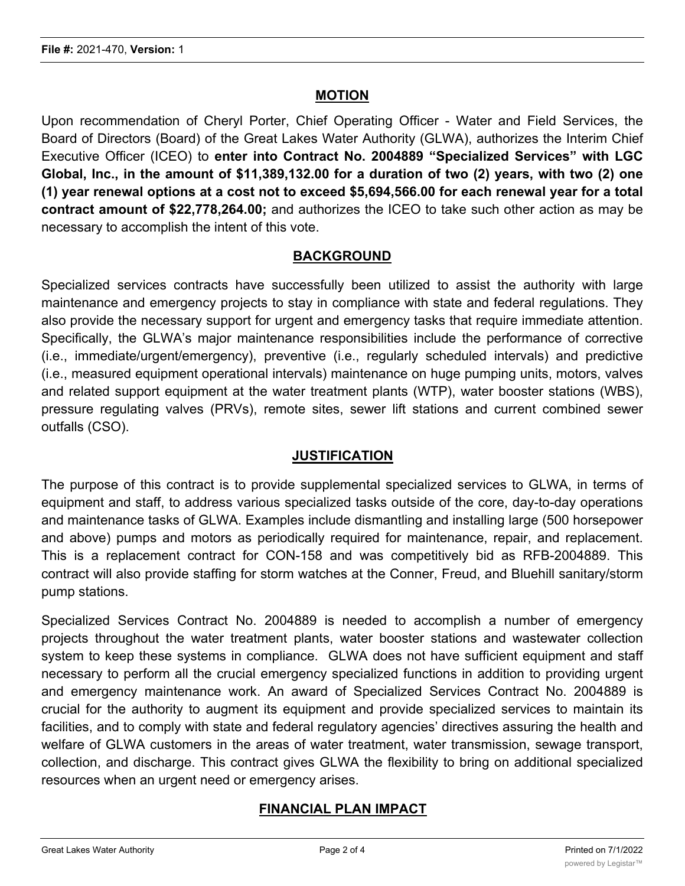#### **MOTION**

Upon recommendation of Cheryl Porter, Chief Operating Officer - Water and Field Services, the Board of Directors (Board) of the Great Lakes Water Authority (GLWA), authorizes the Interim Chief Executive Officer (ICEO) to **enter into Contract No. 2004889 "Specialized Services" with LGC Global, Inc., in the amount of \$11,389,132.00 for a duration of two (2) years, with two (2) one (1) year renewal options at a cost not to exceed \$5,694,566.00 for each renewal year for a total contract amount of \$22,778,264.00;** and authorizes the ICEO to take such other action as may be necessary to accomplish the intent of this vote.

#### **BACKGROUND**

Specialized services contracts have successfully been utilized to assist the authority with large maintenance and emergency projects to stay in compliance with state and federal regulations. They also provide the necessary support for urgent and emergency tasks that require immediate attention. Specifically, the GLWA's major maintenance responsibilities include the performance of corrective (i.e., immediate/urgent/emergency), preventive (i.e., regularly scheduled intervals) and predictive (i.e., measured equipment operational intervals) maintenance on huge pumping units, motors, valves and related support equipment at the water treatment plants (WTP), water booster stations (WBS), pressure regulating valves (PRVs), remote sites, sewer lift stations and current combined sewer outfalls (CSO).

## **JUSTIFICATION**

The purpose of this contract is to provide supplemental specialized services to GLWA, in terms of equipment and staff, to address various specialized tasks outside of the core, day-to-day operations and maintenance tasks of GLWA. Examples include dismantling and installing large (500 horsepower and above) pumps and motors as periodically required for maintenance, repair, and replacement. This is a replacement contract for CON-158 and was competitively bid as RFB-2004889. This contract will also provide staffing for storm watches at the Conner, Freud, and Bluehill sanitary/storm pump stations.

Specialized Services Contract No. 2004889 is needed to accomplish a number of emergency projects throughout the water treatment plants, water booster stations and wastewater collection system to keep these systems in compliance. GLWA does not have sufficient equipment and staff necessary to perform all the crucial emergency specialized functions in addition to providing urgent and emergency maintenance work. An award of Specialized Services Contract No. 2004889 is crucial for the authority to augment its equipment and provide specialized services to maintain its facilities, and to comply with state and federal regulatory agencies' directives assuring the health and welfare of GLWA customers in the areas of water treatment, water transmission, sewage transport, collection, and discharge. This contract gives GLWA the flexibility to bring on additional specialized resources when an urgent need or emergency arises.

## **FINANCIAL PLAN IMPACT**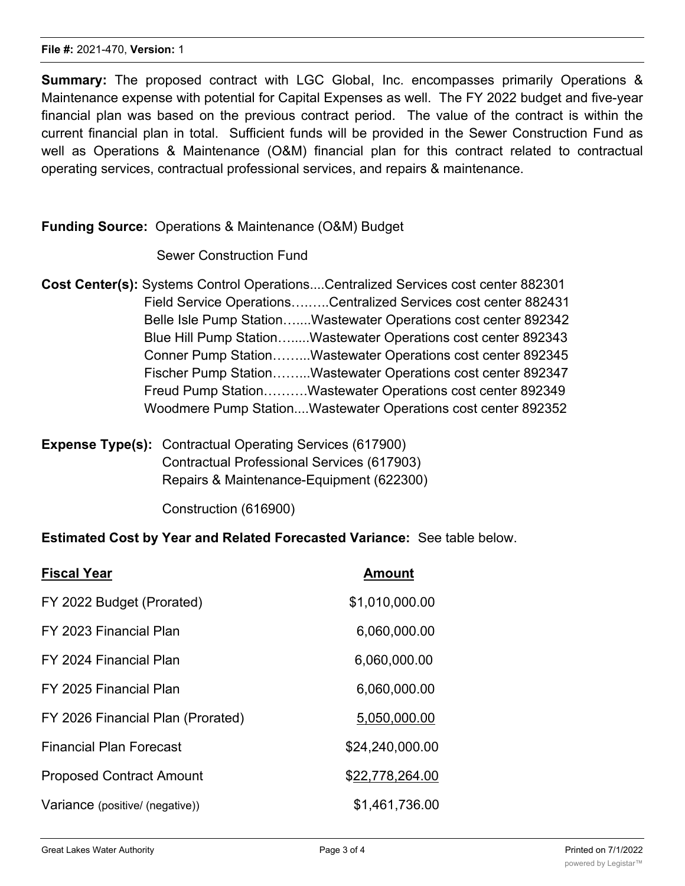**Summary:** The proposed contract with LGC Global, Inc. encompasses primarily Operations & Maintenance expense with potential for Capital Expenses as well. The FY 2022 budget and five-year financial plan was based on the previous contract period. The value of the contract is within the current financial plan in total. Sufficient funds will be provided in the Sewer Construction Fund as well as Operations & Maintenance (O&M) financial plan for this contract related to contractual operating services, contractual professional services, and repairs & maintenance.

## **Funding Source:** Operations & Maintenance (O&M) Budget

#### Sewer Construction Fund

- **Cost Center(s):** Systems Control Operations....Centralized Services cost center 882301 Field Service Operations….…..Centralized Services cost center 882431 Belle Isle Pump Station…....Wastewater Operations cost center 892342 Blue Hill Pump Station….....Wastewater Operations cost center 892343 Conner Pump Station……...Wastewater Operations cost center 892345 Fischer Pump Station……...Wastewater Operations cost center 892347 Freud Pump Station……….Wastewater Operations cost center 892349 Woodmere Pump Station....Wastewater Operations cost center 892352
- **Expense Type(s):** Contractual Operating Services (617900) Contractual Professional Services (617903) Repairs & Maintenance-Equipment (622300)

Construction (616900)

#### **Estimated Cost by Year and Related Forecasted Variance:** See table below.

| <b>Fiscal Year</b>                | <b>Amount</b>   |
|-----------------------------------|-----------------|
| FY 2022 Budget (Prorated)         | \$1,010,000.00  |
| FY 2023 Financial Plan            | 6,060,000.00    |
| FY 2024 Financial Plan            | 6,060,000.00    |
| FY 2025 Financial Plan            | 6,060,000.00    |
| FY 2026 Financial Plan (Prorated) | 5,050,000.00    |
| <b>Financial Plan Forecast</b>    | \$24,240,000.00 |
| <b>Proposed Contract Amount</b>   | \$22,778,264.00 |
| Variance (positive/ (negative))   | \$1,461,736.00  |